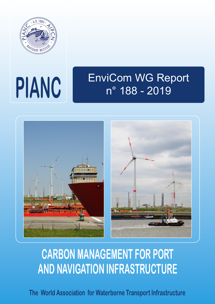

## EnviCom WG Report n° 188 - 2019 **PIANC**



# **CARBON MANAGEMENT FOR PORT AND NAVIGATION INFRASTRUCTURE**

**The World Association for Waterborne Transport Infrastructure**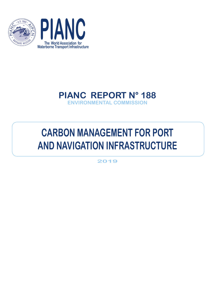



### **PIANC REPORT N° 188 ENVIRONMENTAL COMMISSION**

## **CARBON MANAGEMENT FOR PORT AND NAVIGATION INFRASTRUCTURE**

**2019**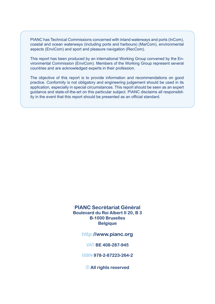PIANC has Technical Commissions concerned with inland waterways and ports (InCom), coastal and ocean waterways (including ports and harbours) (MarCom), environmental aspects (EnviCom) and sport and pleasure navigation (RecCom).

This report has been produced by an international Working Group convened by the Environmental Commission (EnviCom). Members of the Working Group represent several countries and are acknowledged experts in their profession.

The objective of this report is to provide information and recommendations on good practice. Conformity is not obligatory and engineering judgement should be used in its application, especially in special circumstances. This report should be seen as an expert guidance and state-of-the-art on this particular subject. PIANC disclaims all responsibility in the event that this report should be presented as an official standard.

#### **PIANC Secrétariat Général Boulevard du Roi Albert II 20, B 3 B-1000 Bruxelles Belgique**

**http://www.pianc.org**

**VAT BE 408-287-945**

**ISBN 978-2-87223-264-2**

**© All rights reserved**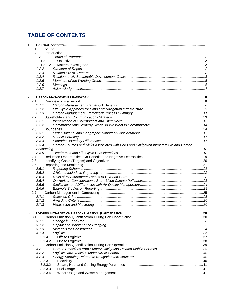#### **TABLE OF CONTENTS**

| 1            |         |                                                                                         |     |
|--------------|---------|-----------------------------------------------------------------------------------------|-----|
|              | 1.1     |                                                                                         |     |
|              | 1.2     |                                                                                         |     |
|              | 1.2.1   |                                                                                         |     |
|              | 1.2.1.1 |                                                                                         |     |
|              | 1.2.1.2 |                                                                                         |     |
|              | 1.2.2   |                                                                                         |     |
|              | 1.2.3   |                                                                                         |     |
|              | 1.2.4   |                                                                                         |     |
|              | 1.2.5   |                                                                                         |     |
|              | 1.2.6   |                                                                                         |     |
|              | 1.2.7   |                                                                                         |     |
| $\mathbf{2}$ |         |                                                                                         |     |
|              | 2.1     |                                                                                         |     |
|              | 2.1.1   |                                                                                         |     |
|              | 2.1.2   |                                                                                         |     |
|              | 2.1.3   |                                                                                         |     |
|              | 2.2     |                                                                                         |     |
|              | 2.2.1   |                                                                                         |     |
|              | 2.2.2   |                                                                                         |     |
|              | 2.3     |                                                                                         |     |
|              | 2.3.1   |                                                                                         |     |
|              | 2.3.2   |                                                                                         |     |
|              | 2.3.3   |                                                                                         |     |
|              | 2.3.4   | Carbon Sources and Sinks Associated with Ports and Navigation Infrastructure and Carbon |     |
|              |         |                                                                                         |     |
|              |         |                                                                                         |     |
|              | 2.3.5   |                                                                                         |     |
|              | 2.4     |                                                                                         |     |
|              | 2.5     |                                                                                         |     |
|              | 2.6     |                                                                                         |     |
|              | 2.6.1   |                                                                                         |     |
|              | 2.6.2   |                                                                                         |     |
|              | 2.6.3   |                                                                                         |     |
|              | 2.6.4   |                                                                                         |     |
|              | 2.6.5   |                                                                                         |     |
|              | 2.6.6   |                                                                                         |     |
|              | 2.7     |                                                                                         |     |
|              | 2.7.1   |                                                                                         |     |
|              | 2.7.2   |                                                                                         |     |
|              | 2.7.3   |                                                                                         |     |
| 3            |         | <b>EXISTING INITIATIVES ON CARBON EMISSION QUANTIFICATION.</b>                          | .28 |
|              | 3.1     |                                                                                         |     |
|              | 3.1.1   |                                                                                         |     |
|              | 3.1.2   |                                                                                         |     |
|              | 3.1.3   |                                                                                         |     |
|              | 3.1.4   |                                                                                         |     |
|              | 3.1.4.1 |                                                                                         |     |
|              | 3.1.4.2 |                                                                                         |     |
|              | 3.2     |                                                                                         |     |
|              | 3.2.1   |                                                                                         |     |
|              | 3.2.2   |                                                                                         |     |
|              | 3.2.3   |                                                                                         |     |
|              | 3.2.3.1 |                                                                                         |     |
|              | 3.2.3.2 |                                                                                         |     |
|              | 3.2.3.3 |                                                                                         |     |
|              | 3.2.3.4 |                                                                                         |     |
|              |         |                                                                                         |     |